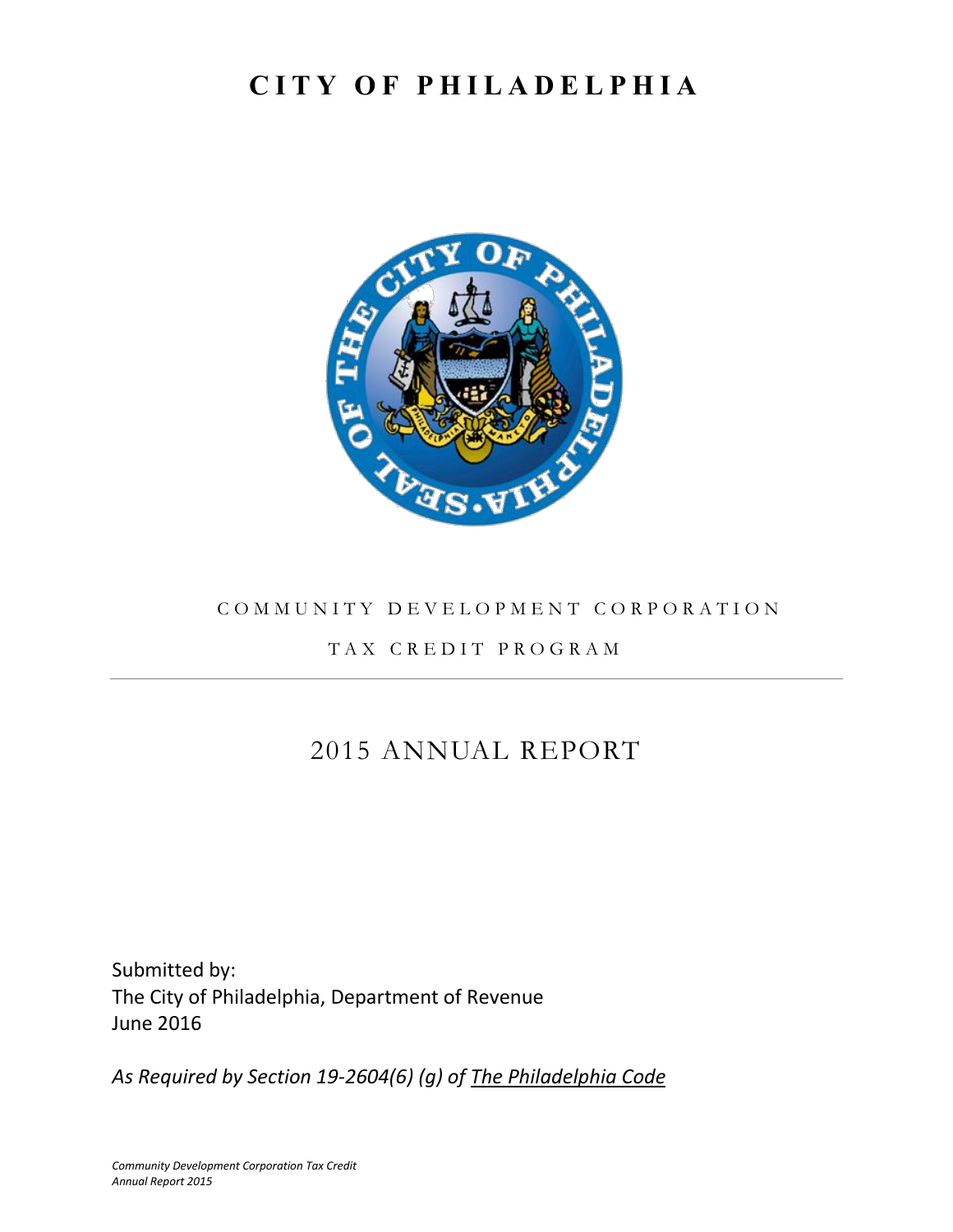# **C I T Y O F P H I L A D E L P H I A**



#### COMMUNITY DEVELOPMENT CORPORATION

## T A X C R E D I T P R O G R A M

# 2015 ANNUAL REPORT

Submitted by: The City of Philadelphia, Department of Revenue June 2016

*As Required by Section 19-2604(6) (g) of The Philadelphia Code*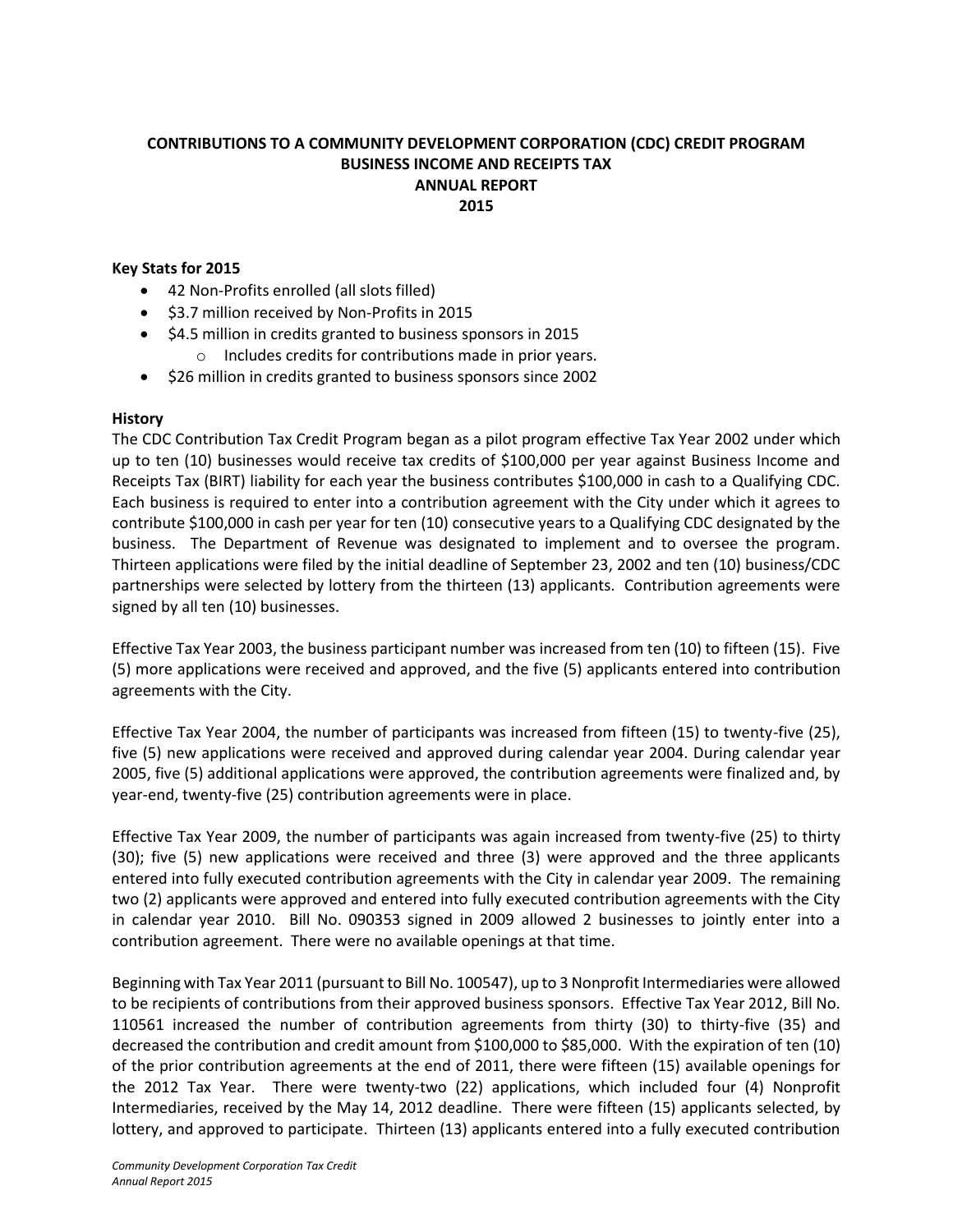#### **CONTRIBUTIONS TO A COMMUNITY DEVELOPMENT CORPORATION (CDC) CREDIT PROGRAM BUSINESS INCOME AND RECEIPTS TAX ANNUAL REPORT 2015**

#### **Key Stats for 2015**

- 42 Non-Profits enrolled (all slots filled)
- **•** \$3.7 million received by Non-Profits in 2015
- \$4.5 million in credits granted to business sponsors in 2015 o Includes credits for contributions made in prior years.
- **•** \$26 million in credits granted to business sponsors since 2002

#### **History**

The CDC Contribution Tax Credit Program began as a pilot program effective Tax Year 2002 under which up to ten (10) businesses would receive tax credits of \$100,000 per year against Business Income and Receipts Tax (BIRT) liability for each year the business contributes \$100,000 in cash to a Qualifying CDC. Each business is required to enter into a contribution agreement with the City under which it agrees to contribute \$100,000 in cash per year for ten (10) consecutive years to a Qualifying CDC designated by the business. The Department of Revenue was designated to implement and to oversee the program. Thirteen applications were filed by the initial deadline of September 23, 2002 and ten (10) business/CDC partnerships were selected by lottery from the thirteen (13) applicants. Contribution agreements were signed by all ten (10) businesses.

Effective Tax Year 2003, the business participant number was increased from ten (10) to fifteen (15). Five (5) more applications were received and approved, and the five (5) applicants entered into contribution agreements with the City.

Effective Tax Year 2004, the number of participants was increased from fifteen (15) to twenty-five (25), five (5) new applications were received and approved during calendar year 2004. During calendar year 2005, five (5) additional applications were approved, the contribution agreements were finalized and, by year-end, twenty-five (25) contribution agreements were in place.

Effective Tax Year 2009, the number of participants was again increased from twenty-five (25) to thirty (30); five (5) new applications were received and three (3) were approved and the three applicants entered into fully executed contribution agreements with the City in calendar year 2009. The remaining two (2) applicants were approved and entered into fully executed contribution agreements with the City in calendar year 2010. Bill No. 090353 signed in 2009 allowed 2 businesses to jointly enter into a contribution agreement. There were no available openings at that time.

Beginning with Tax Year 2011 (pursuant to Bill No. 100547), up to 3 Nonprofit Intermediaries were allowed to be recipients of contributions from their approved business sponsors. Effective Tax Year 2012, Bill No. 110561 increased the number of contribution agreements from thirty (30) to thirty-five (35) and decreased the contribution and credit amount from \$100,000 to \$85,000. With the expiration of ten (10) of the prior contribution agreements at the end of 2011, there were fifteen (15) available openings for the 2012 Tax Year. There were twenty-two (22) applications, which included four (4) Nonprofit Intermediaries, received by the May 14, 2012 deadline. There were fifteen (15) applicants selected, by lottery, and approved to participate. Thirteen (13) applicants entered into a fully executed contribution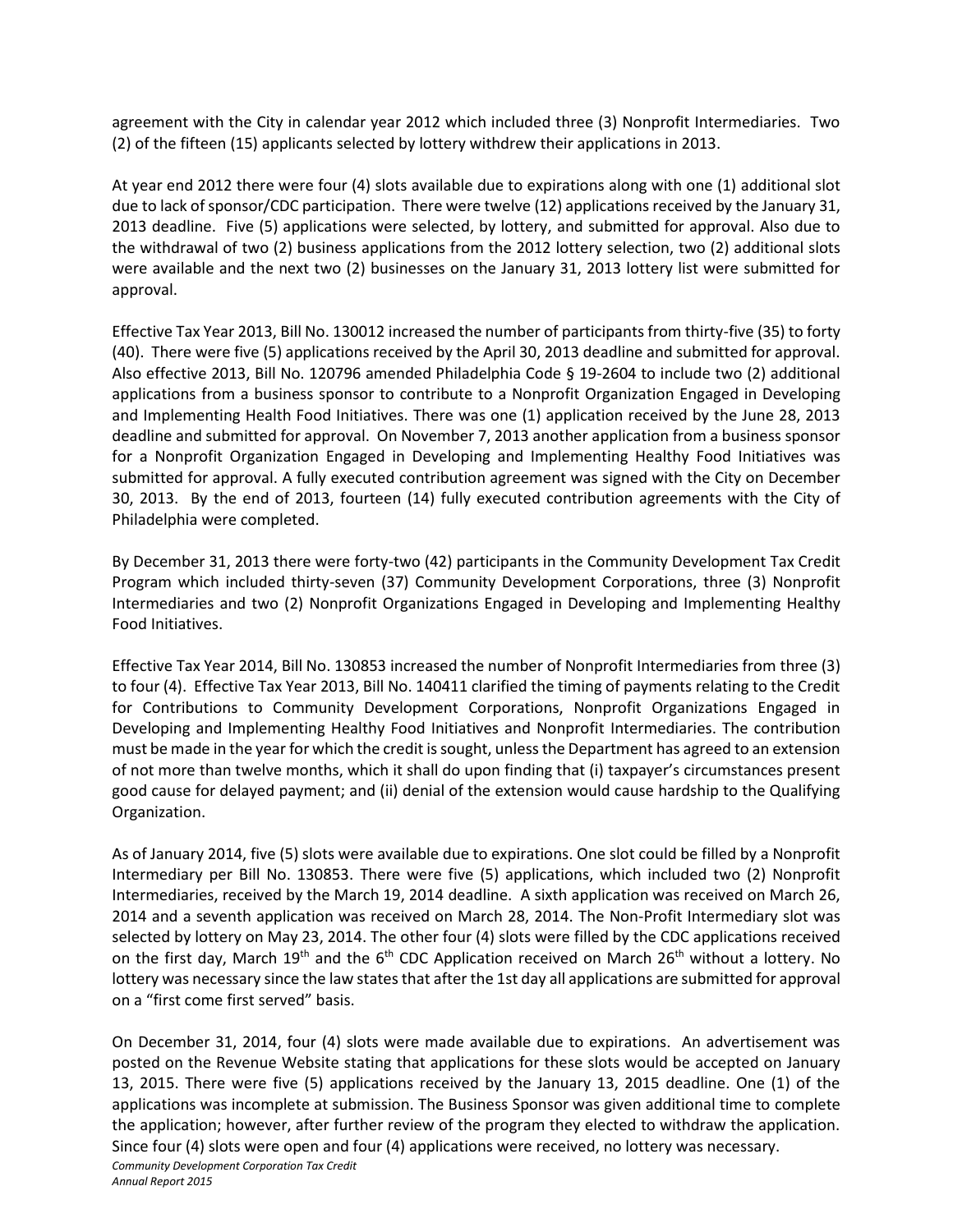agreement with the City in calendar year 2012 which included three (3) Nonprofit Intermediaries. Two (2) of the fifteen (15) applicants selected by lottery withdrew their applications in 2013.

At year end 2012 there were four (4) slots available due to expirations along with one (1) additional slot due to lack of sponsor/CDC participation. There were twelve (12) applications received by the January 31, 2013 deadline. Five (5) applications were selected, by lottery, and submitted for approval. Also due to the withdrawal of two (2) business applications from the 2012 lottery selection, two (2) additional slots were available and the next two (2) businesses on the January 31, 2013 lottery list were submitted for approval.

Effective Tax Year 2013, Bill No. 130012 increased the number of participants from thirty-five (35) to forty (40). There were five (5) applications received by the April 30, 2013 deadline and submitted for approval. Also effective 2013, Bill No. 120796 amended Philadelphia Code § 19-2604 to include two (2) additional applications from a business sponsor to contribute to a Nonprofit Organization Engaged in Developing and Implementing Health Food Initiatives. There was one (1) application received by the June 28, 2013 deadline and submitted for approval. On November 7, 2013 another application from a business sponsor for a Nonprofit Organization Engaged in Developing and Implementing Healthy Food Initiatives was submitted for approval. A fully executed contribution agreement was signed with the City on December 30, 2013. By the end of 2013, fourteen (14) fully executed contribution agreements with the City of Philadelphia were completed.

By December 31, 2013 there were forty-two (42) participants in the Community Development Tax Credit Program which included thirty-seven (37) Community Development Corporations, three (3) Nonprofit Intermediaries and two (2) Nonprofit Organizations Engaged in Developing and Implementing Healthy Food Initiatives.

Effective Tax Year 2014, Bill No. 130853 increased the number of Nonprofit Intermediaries from three (3) to four (4). Effective Tax Year 2013, Bill No. 140411 clarified the timing of payments relating to the Credit for Contributions to Community Development Corporations, Nonprofit Organizations Engaged in Developing and Implementing Healthy Food Initiatives and Nonprofit Intermediaries. The contribution must be made in the year for which the credit is sought, unless the Department has agreed to an extension of not more than twelve months, which it shall do upon finding that (i) taxpayer's circumstances present good cause for delayed payment; and (ii) denial of the extension would cause hardship to the Qualifying Organization.

As of January 2014, five (5) slots were available due to expirations. One slot could be filled by a Nonprofit Intermediary per Bill No. 130853. There were five (5) applications, which included two (2) Nonprofit Intermediaries, received by the March 19, 2014 deadline. A sixth application was received on March 26, 2014 and a seventh application was received on March 28, 2014. The Non-Profit Intermediary slot was selected by lottery on May 23, 2014. The other four (4) slots were filled by the CDC applications received on the first day, March 19<sup>th</sup> and the  $6<sup>th</sup>$  CDC Application received on March 26<sup>th</sup> without a lottery. No lottery was necessary since the law states that after the 1st day all applications are submitted for approval on a "first come first served" basis.

On December 31, 2014, four (4) slots were made available due to expirations. An advertisement was posted on the Revenue Website stating that applications for these slots would be accepted on January 13, 2015. There were five (5) applications received by the January 13, 2015 deadline. One (1) of the applications was incomplete at submission. The Business Sponsor was given additional time to complete the application; however, after further review of the program they elected to withdraw the application. Since four (4) slots were open and four (4) applications were received, no lottery was necessary.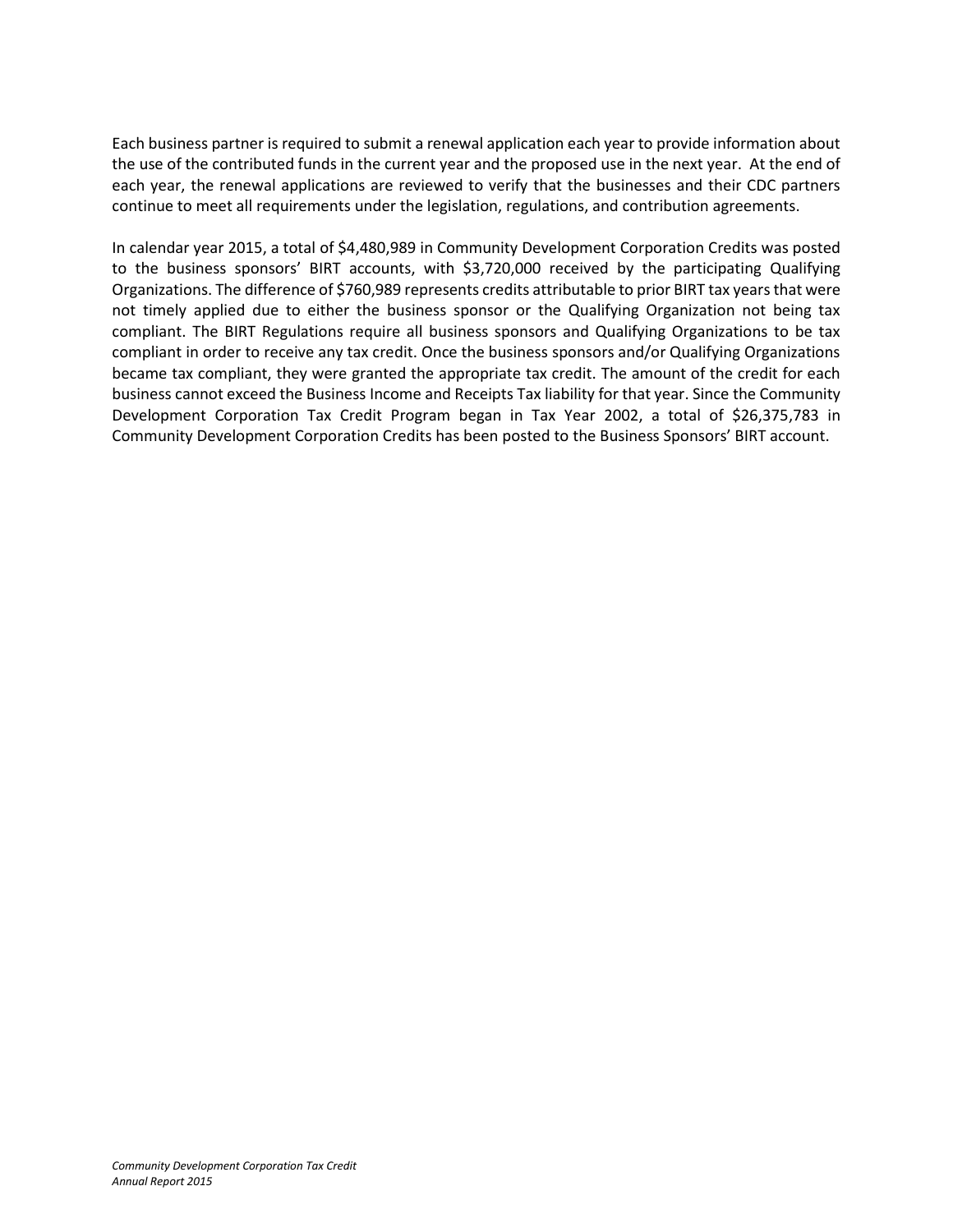Each business partner is required to submit a renewal application each year to provide information about the use of the contributed funds in the current year and the proposed use in the next year. At the end of each year, the renewal applications are reviewed to verify that the businesses and their CDC partners continue to meet all requirements under the legislation, regulations, and contribution agreements.

In calendar year 2015, a total of \$4,480,989 in Community Development Corporation Credits was posted to the business sponsors' BIRT accounts, with \$3,720,000 received by the participating Qualifying Organizations. The difference of \$760,989 represents credits attributable to prior BIRT tax years that were not timely applied due to either the business sponsor or the Qualifying Organization not being tax compliant. The BIRT Regulations require all business sponsors and Qualifying Organizations to be tax compliant in order to receive any tax credit. Once the business sponsors and/or Qualifying Organizations became tax compliant, they were granted the appropriate tax credit. The amount of the credit for each business cannot exceed the Business Income and Receipts Tax liability for that year. Since the Community Development Corporation Tax Credit Program began in Tax Year 2002, a total of \$26,375,783 in Community Development Corporation Credits has been posted to the Business Sponsors' BIRT account.